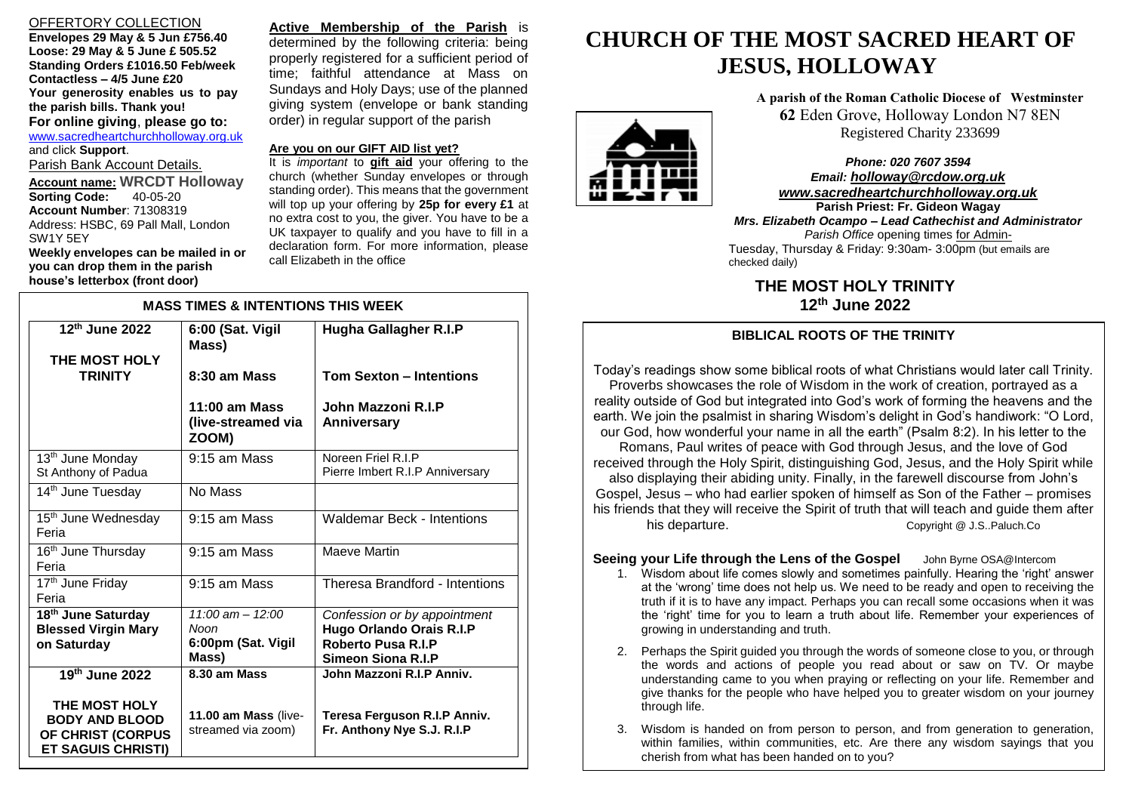## OFFERTORY COLLECTION

**Envelopes 29 May & 5 Jun £756.40 Loose: 29 May & 5 June £ 505.52 Standing Orders £1016.50 Feb/week Contactless – 4/5 June £20 Your generosity enables us to pay the parish bills. Thank you! For online giving**, **please go to:** [www.sacredheartchurchholloway.org.uk](http://www.sacredheartchurchholloway.org.uk/) and click **Support**. Parish Bank Account Details. **Account name: WRCDT Holloway Sorting Code: Account Number**: 71308319 Address: HSBC, 69 Pall Mall, London SW1Y 5EY

**Weekly envelopes can be mailed in or you can drop them in the parish house's letterbox (front door)**

**Active Membership of the Parish** is determined by the following criteria: being properly registered for a sufficient period of time; faithful attendance at Mass on Sundays and Holy Days; use of the planned giving system (envelope or bank standing order) in regular support of the parish

#### **Are you on our GIFT AID list yet?**

It is *important* to **gift aid** your offering to the church (whether Sunday envelopes or through standing order). This means that the government will top up your offering by **25p for every £1** at no extra cost to you, the giver. You have to be a UK taxpayer to qualify and you have to fill in a declaration form. For more information, please call Elizabeth in the office

| <b>MASS TIMES &amp; INTENTIONS THIS WEEK</b>                                                               |                                                             |                                                                                                             |
|------------------------------------------------------------------------------------------------------------|-------------------------------------------------------------|-------------------------------------------------------------------------------------------------------------|
| 12 <sup>th</sup> June 2022<br>THE MOST HOLY                                                                | 6:00 (Sat. Vigil<br>Mass)                                   | Hugha Gallagher R.I.P                                                                                       |
| <b>TRINITY</b>                                                                                             | 8:30 am Mass                                                | <b>Tom Sexton - Intentions</b>                                                                              |
|                                                                                                            | $11:00$ am Mass<br>(live-streamed via<br>ZOOM)              | John Mazzoni R.I.P<br>Anniversary                                                                           |
| 13 <sup>th</sup> June Monday<br>St Anthony of Padua                                                        | 9:15 am Mass                                                | Noreen Friel R.I.P<br>Pierre Imbert R.I.P Anniversary                                                       |
| 14 <sup>th</sup> June Tuesday                                                                              | No Mass                                                     |                                                                                                             |
| 15 <sup>th</sup> June Wednesday<br>Feria                                                                   | 9:15 am Mass                                                | Waldemar Beck - Intentions                                                                                  |
| 16 <sup>th</sup> June Thursday<br>Feria                                                                    | $9:15$ am Mass                                              | Maeve Martin                                                                                                |
| 17 <sup>th</sup> June Friday<br>Feria                                                                      | $9:15$ am Mass                                              | <b>Theresa Brandford - Intentions</b>                                                                       |
| 18 <sup>th</sup> June Saturday<br><b>Blessed Virgin Mary</b><br>on Saturday                                | $11:00$ am $- 12:00$<br>Noon<br>6:00pm (Sat. Vigil<br>Mass) | Confession or by appointment<br>Hugo Orlando Orais R.I.P<br><b>Roberto Pusa R.I.P</b><br>Simeon Siona R.I.P |
| 19th June 2022<br>THE MOST HOLY<br><b>BODY AND BLOOD</b><br>OF CHRIST (CORPUS<br><b>ET SAGUIS CHRISTI)</b> | 8.30 am Mass<br>11.00 am Mass (live-<br>streamed via zoom)  | John Mazzoni R.I.P Anniv.<br>Teresa Ferguson R.I.P Anniv.<br>Fr. Anthony Nye S.J. R.I.P                     |

# **CHURCH OF THE MOST SACRED HEART OF JESUS, HOLLOWAY**

**A parish of the Roman Catholic Diocese of Westminster 62** Eden Grove, Holloway London N7 8EN Registered Charity 233699

*Phone: 020 7607 3594 Email: [holloway@rcdow.org.uk](mailto:holloway@rcdow.org.uk) www.sacredheartchurchholloway.org.uk*

 Tuesday, Thursday & Friday: 9:30am- 3:00pm (but emails are **Parish Priest: Fr. Gideon Wagay** *Mrs. Elizabeth Ocampo – Lead Cathechist and Administrator Parish Office* opening times for Adminchecked daily)

**THE MOST HOLY TRINITY 12<sup>th</sup> June 2022** 

# **BIBLICAL ROOTS OF THE TRINITY**

Today's readings show some biblical roots of what Christians would later call Trinity. Proverbs showcases the role of Wisdom in the work of creation, portrayed as a reality outside of God but integrated into God's work of forming the heavens and the earth. We join the psalmist in sharing Wisdom's delight in God's handiwork: "O Lord, our God, how wonderful your name in all the earth" (Psalm 8:2). In his letter to the Romans, Paul writes of peace with God through Jesus, and the love of God received through the Holy Spirit, distinguishing God, Jesus, and the Holy Spirit while also displaying their abiding unity. Finally, in the farewell discourse from John's Gospel, Jesus – who had earlier spoken of himself as Son of the Father – promises his friends that they will receive the Spirit of truth that will teach and guide them after his departure. This departure.

## **Seeing your Life through the Lens of the Gospel** John Byrne OSA@Intercom

- 1. Wisdom about life comes slowly and sometimes painfully. Hearing the 'right' answer at the 'wrong' time does not help us. We need to be ready and open to receiving the truth if it is to have any impact. Perhaps you can recall some occasions when it was the 'right' time for you to learn a truth about life. Remember your experiences of growing in understanding and truth.
- 2. Perhaps the Spirit guided you through the words of someone close to you, or through the words and actions of people you read about or saw on TV. Or maybe understanding came to you when praying or reflecting on your life. Remember and give thanks for the people who have helped you to greater wisdom on your journey through life.
- 3. Wisdom is handed on from person to person, and from generation to generation, within families, within communities, etc. Are there any wisdom sayings that you cherish from what has been handed on to you?